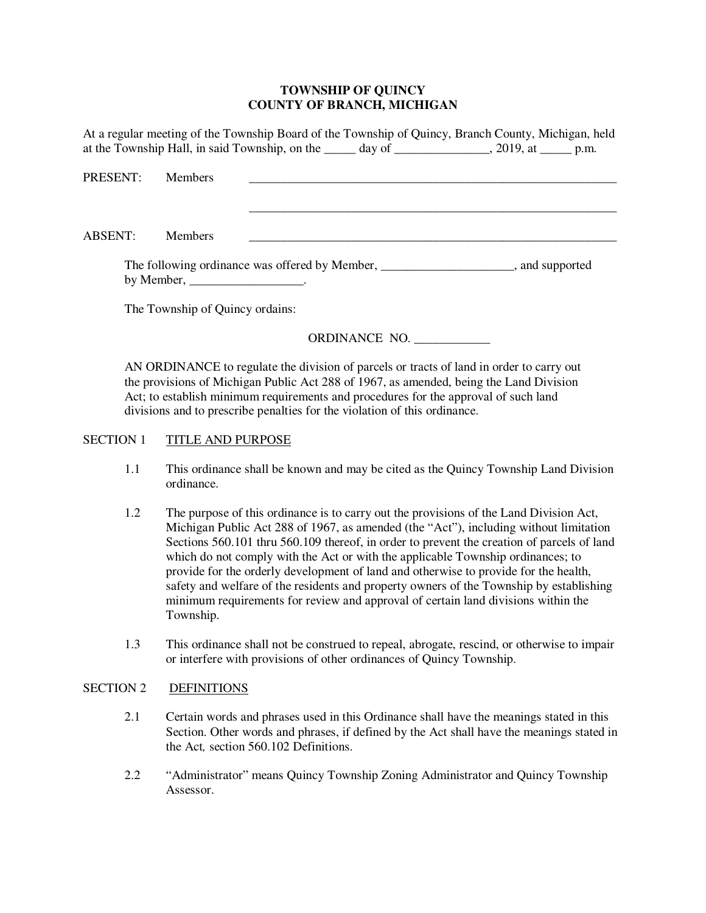#### **TOWNSHIP OF QUINCY COUNTY OF BRANCH, MICHIGAN**

At a regular meeting of the Township Board of the Township of Quincy, Branch County, Michigan, held at the Township Hall, in said Township, on the \_\_\_\_\_ day of \_\_\_\_\_\_\_\_\_\_\_\_\_\_, 2019, at \_\_\_\_\_\_ p.m.

PRESENT: Members \_\_\_\_\_\_\_\_\_\_\_\_\_\_\_\_\_\_\_\_\_\_\_\_\_\_\_\_\_\_\_\_\_\_\_\_\_\_\_\_\_\_\_\_\_\_\_\_\_\_\_\_\_\_\_\_\_\_ ABSENT: Members The following ordinance was offered by Member, \_\_\_\_\_\_\_\_\_\_\_\_\_\_\_\_\_\_\_\_\_\_, and supported

The Township of Quincy ordains:

by Member,

# ORDINANCE NO. \_\_\_\_\_\_\_\_\_\_\_\_

AN ORDINANCE to regulate the division of parcels or tracts of land in order to carry out the provisions of Michigan Public Act 288 of 1967, as amended, being the Land Division Act; to establish minimum requirements and procedures for the approval of such land divisions and to prescribe penalties for the violation of this ordinance.

# SECTION 1 TITLE AND PURPOSE

- 1.1 This ordinance shall be known and may be cited as the Quincy Township Land Division ordinance.
- 1.2 The purpose of this ordinance is to carry out the provisions of the Land Division Act, Michigan Public Act 288 of 1967, as amended (the "Act"), including without limitation Sections 560.101 thru 560.109 thereof, in order to prevent the creation of parcels of land which do not comply with the Act or with the applicable Township ordinances; to provide for the orderly development of land and otherwise to provide for the health, safety and welfare of the residents and property owners of the Township by establishing minimum requirements for review and approval of certain land divisions within the Township.
- 1.3 This ordinance shall not be construed to repeal, abrogate, rescind, or otherwise to impair or interfere with provisions of other ordinances of Quincy Township.

#### SECTION 2 DEFINITIONS

- 2.1 Certain words and phrases used in this Ordinance shall have the meanings stated in this Section. Other words and phrases, if defined by the Act shall have the meanings stated in the Act*,* section 560.102 Definitions.
- 2.2 "Administrator" means Quincy Township Zoning Administrator and Quincy Township Assessor.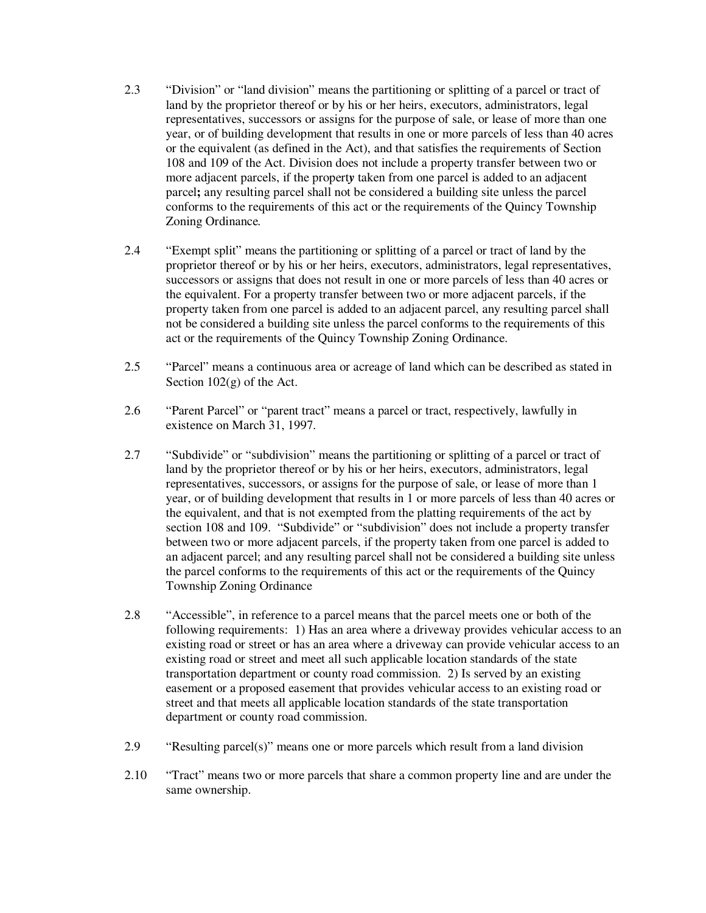- 2.3 "Division" or "land division" means the partitioning or splitting of a parcel or tract of land by the proprietor thereof or by his or her heirs, executors, administrators, legal representatives, successors or assigns for the purpose of sale, or lease of more than one year, or of building development that results in one or more parcels of less than 40 acres or the equivalent (as defined in the Act), and that satisfies the requirements of Section 108 and 109 of the Act. Division does not include a property transfer between two or more adjacent parcels, if the propert*y* taken from one parcel is added to an adjacent parcel**;** any resulting parcel shall not be considered a building site unless the parcel conforms to the requirements of this act or the requirements of the Quincy Township Zoning Ordinance*.*
- 2.4 "Exempt split" means the partitioning or splitting of a parcel or tract of land by the proprietor thereof or by his or her heirs, executors, administrators, legal representatives, successors or assigns that does not result in one or more parcels of less than 40 acres or the equivalent. For a property transfer between two or more adjacent parcels, if the property taken from one parcel is added to an adjacent parcel, any resulting parcel shall not be considered a building site unless the parcel conforms to the requirements of this act or the requirements of the Quincy Township Zoning Ordinance.
- 2.5 "Parcel" means a continuous area or acreage of land which can be described as stated in Section 102(g) of the Act.
- 2.6 "Parent Parcel" or "parent tract" means a parcel or tract, respectively, lawfully in existence on March 31, 1997.
- 2.7 "Subdivide" or "subdivision" means the partitioning or splitting of a parcel or tract of land by the proprietor thereof or by his or her heirs, executors, administrators, legal representatives, successors, or assigns for the purpose of sale, or lease of more than 1 year, or of building development that results in 1 or more parcels of less than 40 acres or the equivalent, and that is not exempted from the platting requirements of the act by section 108 and 109. "Subdivide" or "subdivision" does not include a property transfer between two or more adjacent parcels, if the property taken from one parcel is added to an adjacent parcel; and any resulting parcel shall not be considered a building site unless the parcel conforms to the requirements of this act or the requirements of the Quincy Township Zoning Ordinance
- 2.8 "Accessible", in reference to a parcel means that the parcel meets one or both of the following requirements: 1) Has an area where a driveway provides vehicular access to an existing road or street or has an area where a driveway can provide vehicular access to an existing road or street and meet all such applicable location standards of the state transportation department or county road commission. 2) Is served by an existing easement or a proposed easement that provides vehicular access to an existing road or street and that meets all applicable location standards of the state transportation department or county road commission.
- 2.9 "Resulting parcel(s)" means one or more parcels which result from a land division
- 2.10 "Tract" means two or more parcels that share a common property line and are under the same ownership.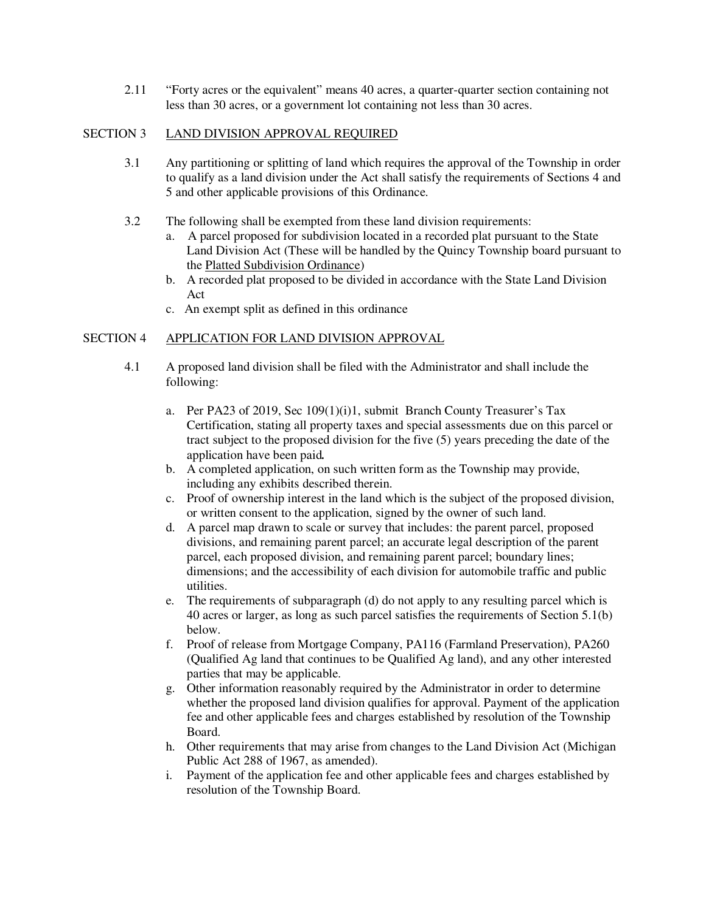2.11 "Forty acres or the equivalent" means 40 acres, a quarter-quarter section containing not less than 30 acres, or a government lot containing not less than 30 acres.

#### SECTION 3 LAND DIVISION APPROVAL REQUIRED

- 3.1 Any partitioning or splitting of land which requires the approval of the Township in order to qualify as a land division under the Act shall satisfy the requirements of Sections 4 and 5 and other applicable provisions of this Ordinance.
- 3.2 The following shall be exempted from these land division requirements:
	- a. A parcel proposed for subdivision located in a recorded plat pursuant to the State Land Division Act (These will be handled by the Quincy Township board pursuant to the Platted Subdivision Ordinance)
	- b. A recorded plat proposed to be divided in accordance with the State Land Division Act
	- c. An exempt split as defined in this ordinance

# SECTION 4 APPLICATION FOR LAND DIVISION APPROVAL

- 4.1 A proposed land division shall be filed with the Administrator and shall include the following:
	- a. Per PA23 of 2019, Sec 109(1)(i)1, submit Branch County Treasurer's Tax Certification, stating all property taxes and special assessments due on this parcel or tract subject to the proposed division for the five (5) years preceding the date of the application have been paid*.*
	- b. A completed application, on such written form as the Township may provide, including any exhibits described therein.
	- c. Proof of ownership interest in the land which is the subject of the proposed division, or written consent to the application, signed by the owner of such land.
	- d. A parcel map drawn to scale or survey that includes: the parent parcel, proposed divisions, and remaining parent parcel; an accurate legal description of the parent parcel, each proposed division, and remaining parent parcel; boundary lines; dimensions; and the accessibility of each division for automobile traffic and public utilities.
	- e. The requirements of subparagraph (d) do not apply to any resulting parcel which is 40 acres or larger, as long as such parcel satisfies the requirements of Section 5.1(b) below.
	- f. Proof of release from Mortgage Company, PA116 (Farmland Preservation), PA260 (Qualified Ag land that continues to be Qualified Ag land), and any other interested parties that may be applicable.
	- g. Other information reasonably required by the Administrator in order to determine whether the proposed land division qualifies for approval. Payment of the application fee and other applicable fees and charges established by resolution of the Township Board.
	- h. Other requirements that may arise from changes to the Land Division Act (Michigan Public Act 288 of 1967, as amended).
	- i. Payment of the application fee and other applicable fees and charges established by resolution of the Township Board.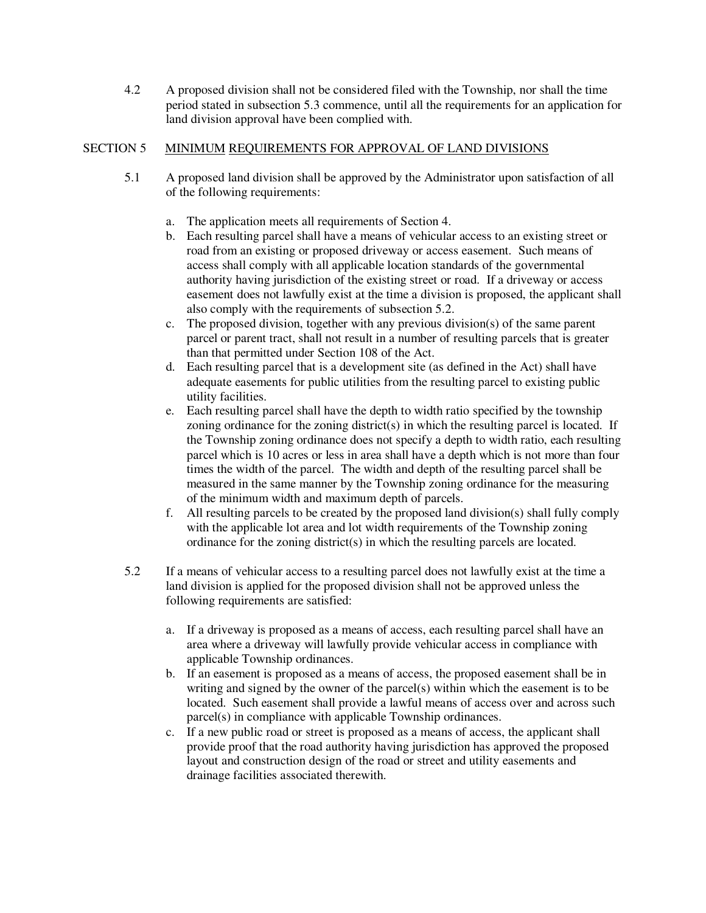4.2 A proposed division shall not be considered filed with the Township, nor shall the time period stated in subsection 5.3 commence, until all the requirements for an application for land division approval have been complied with.

# SECTION 5 MINIMUM REQUIREMENTS FOR APPROVAL OF LAND DIVISIONS

- 5.1 A proposed land division shall be approved by the Administrator upon satisfaction of all of the following requirements:
	- a. The application meets all requirements of Section 4.
	- b. Each resulting parcel shall have a means of vehicular access to an existing street or road from an existing or proposed driveway or access easement. Such means of access shall comply with all applicable location standards of the governmental authority having jurisdiction of the existing street or road. If a driveway or access easement does not lawfully exist at the time a division is proposed, the applicant shall also comply with the requirements of subsection 5.2.
	- c. The proposed division, together with any previous division(s) of the same parent parcel or parent tract, shall not result in a number of resulting parcels that is greater than that permitted under Section 108 of the Act.
	- d. Each resulting parcel that is a development site (as defined in the Act) shall have adequate easements for public utilities from the resulting parcel to existing public utility facilities.
	- e. Each resulting parcel shall have the depth to width ratio specified by the township zoning ordinance for the zoning district(s) in which the resulting parcel is located. If the Township zoning ordinance does not specify a depth to width ratio, each resulting parcel which is 10 acres or less in area shall have a depth which is not more than four times the width of the parcel. The width and depth of the resulting parcel shall be measured in the same manner by the Township zoning ordinance for the measuring of the minimum width and maximum depth of parcels.
	- f. All resulting parcels to be created by the proposed land division(s) shall fully comply with the applicable lot area and lot width requirements of the Township zoning ordinance for the zoning district(s) in which the resulting parcels are located.
- 5.2 If a means of vehicular access to a resulting parcel does not lawfully exist at the time a land division is applied for the proposed division shall not be approved unless the following requirements are satisfied:
	- a. If a driveway is proposed as a means of access, each resulting parcel shall have an area where a driveway will lawfully provide vehicular access in compliance with applicable Township ordinances.
	- b. If an easement is proposed as a means of access, the proposed easement shall be in writing and signed by the owner of the parcel(s) within which the easement is to be located. Such easement shall provide a lawful means of access over and across such parcel(s) in compliance with applicable Township ordinances.
	- c. If a new public road or street is proposed as a means of access, the applicant shall provide proof that the road authority having jurisdiction has approved the proposed layout and construction design of the road or street and utility easements and drainage facilities associated therewith.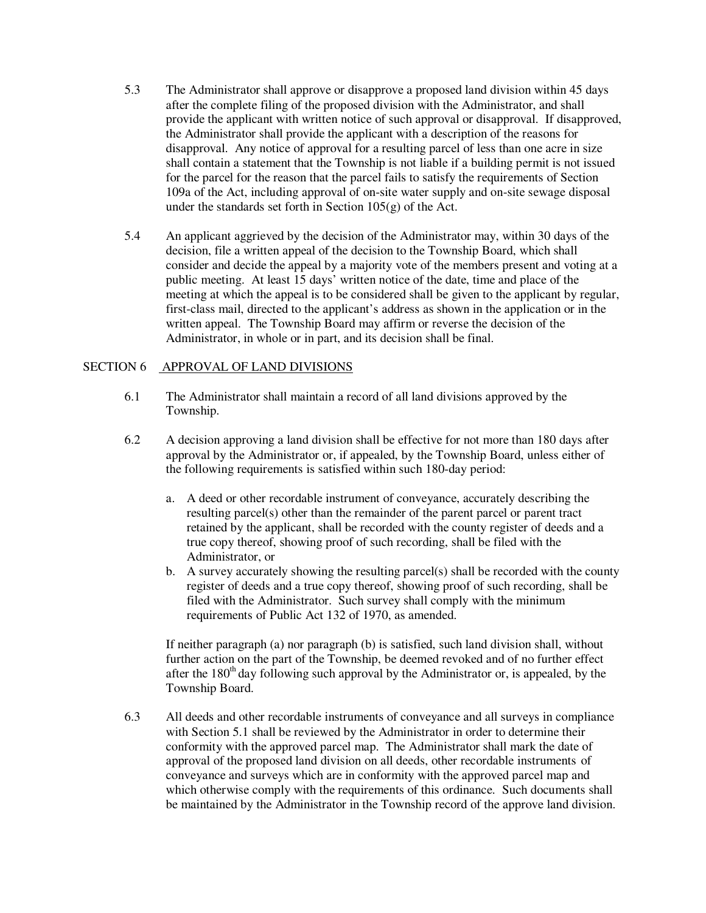- 5.3 The Administrator shall approve or disapprove a proposed land division within 45 days after the complete filing of the proposed division with the Administrator, and shall provide the applicant with written notice of such approval or disapproval. If disapproved, the Administrator shall provide the applicant with a description of the reasons for disapproval. Any notice of approval for a resulting parcel of less than one acre in size shall contain a statement that the Township is not liable if a building permit is not issued for the parcel for the reason that the parcel fails to satisfy the requirements of Section 109a of the Act, including approval of on-site water supply and on-site sewage disposal under the standards set forth in Section  $105(g)$  of the Act.
- 5.4 An applicant aggrieved by the decision of the Administrator may, within 30 days of the decision, file a written appeal of the decision to the Township Board, which shall consider and decide the appeal by a majority vote of the members present and voting at a public meeting. At least 15 days' written notice of the date, time and place of the meeting at which the appeal is to be considered shall be given to the applicant by regular, first-class mail, directed to the applicant's address as shown in the application or in the written appeal. The Township Board may affirm or reverse the decision of the Administrator, in whole or in part, and its decision shall be final.

#### SECTION 6 APPROVAL OF LAND DIVISIONS

- 6.1 The Administrator shall maintain a record of all land divisions approved by the Township.
- 6.2 A decision approving a land division shall be effective for not more than 180 days after approval by the Administrator or, if appealed, by the Township Board, unless either of the following requirements is satisfied within such 180-day period:
	- a. A deed or other recordable instrument of conveyance, accurately describing the resulting parcel(s) other than the remainder of the parent parcel or parent tract retained by the applicant, shall be recorded with the county register of deeds and a true copy thereof, showing proof of such recording, shall be filed with the Administrator, or
	- b. A survey accurately showing the resulting parcel(s) shall be recorded with the county register of deeds and a true copy thereof, showing proof of such recording, shall be filed with the Administrator. Such survey shall comply with the minimum requirements of Public Act 132 of 1970, as amended.

 If neither paragraph (a) nor paragraph (b) is satisfied, such land division shall, without further action on the part of the Township, be deemed revoked and of no further effect after the  $180<sup>th</sup>$  day following such approval by the Administrator or, is appealed, by the Township Board.

6.3 All deeds and other recordable instruments of conveyance and all surveys in compliance with Section 5.1 shall be reviewed by the Administrator in order to determine their conformity with the approved parcel map. The Administrator shall mark the date of approval of the proposed land division on all deeds, other recordable instruments of conveyance and surveys which are in conformity with the approved parcel map and which otherwise comply with the requirements of this ordinance. Such documents shall be maintained by the Administrator in the Township record of the approve land division.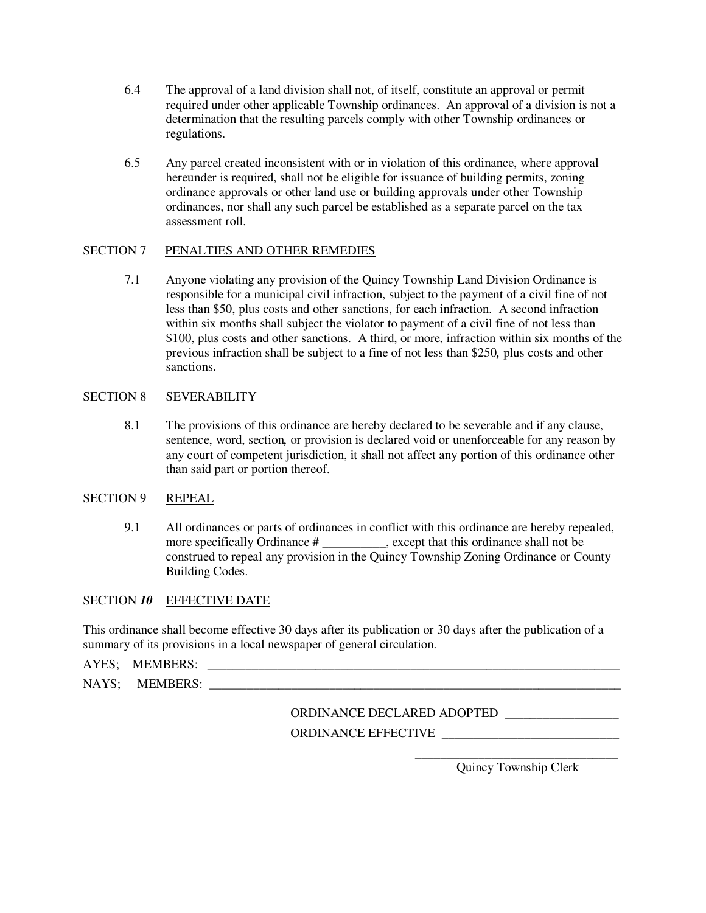- 6.4 The approval of a land division shall not, of itself, constitute an approval or permit required under other applicable Township ordinances. An approval of a division is not a determination that the resulting parcels comply with other Township ordinances or regulations.
- 6.5 Any parcel created inconsistent with or in violation of this ordinance, where approval hereunder is required, shall not be eligible for issuance of building permits, zoning ordinance approvals or other land use or building approvals under other Township ordinances, nor shall any such parcel be established as a separate parcel on the tax assessment roll.

# SECTION 7 PENALTIES AND OTHER REMEDIES

7.1 Anyone violating any provision of the Quincy Township Land Division Ordinance is responsible for a municipal civil infraction, subject to the payment of a civil fine of not less than \$50, plus costs and other sanctions, for each infraction. A second infraction within six months shall subject the violator to payment of a civil fine of not less than \$100, plus costs and other sanctions. A third, or more, infraction within six months of the previous infraction shall be subject to a fine of not less than \$250*,* plus costs and other sanctions.

# SECTION 8 SEVERABILITY

8.1 The provisions of this ordinance are hereby declared to be severable and if any clause, sentence, word, section*,* or provision is declared void or unenforceable for any reason by any court of competent jurisdiction, it shall not affect any portion of this ordinance other than said part or portion thereof.

#### SECTION 9 REPEAL

9.1 All ordinances or parts of ordinances in conflict with this ordinance are hereby repealed, more specifically Ordinance # \_\_\_\_\_\_\_\_\_\_, except that this ordinance shall not be construed to repeal any provision in the Quincy Township Zoning Ordinance or County Building Codes.

#### SECTION 10 EFFECTIVE DATE

This ordinance shall become effective 30 days after its publication or 30 days after the publication of a summary of its provisions in a local newspaper of general circulation.

AYES: MEMBERS:

NAYS; MEMBERS:

ORDINANCE DECLARED ADOPTED ORDINANCE EFFECTIVE \_\_\_\_\_\_\_\_\_\_\_\_\_\_\_\_\_\_\_\_\_\_\_\_\_\_\_\_

 $\overline{\phantom{a}}$  , and the contract of the contract of the contract of the contract of the contract of the contract of the contract of the contract of the contract of the contract of the contract of the contract of the contrac Quincy Township Clerk